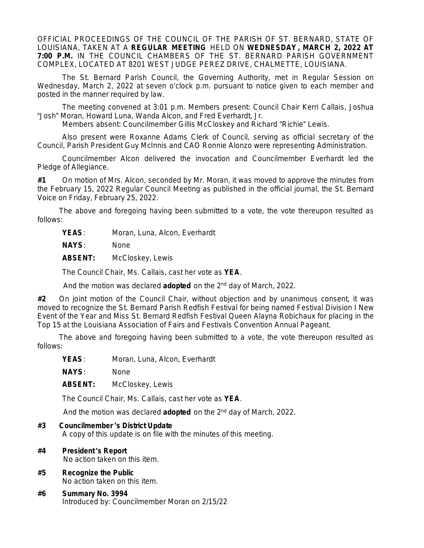OFFICIAL PROCEEDINGS OF THE COUNCIL OF THE PARISH OF ST. BERNARD, STATE OF LOUISIANA, TAKEN AT A **REGULAR MEETING** HELD ON **WEDNESDAY , MARCH 2, 2022 AT 7:00 P.M.** IN THE COUNCIL CHAMBERS OF THE ST. BERNARD PARISH GOVERNMENT COMPLEX, LOCATED AT 8201 WEST JUDGE PEREZ DRIVE, CHALMETTE, LOUISIANA.

The St. Bernard Parish Council, the Governing Authority, met in Regular Session on Wednesday, March 2, 2022 at seven o'clock p.m. pursuant to notice given to each member and posted in the manner required by law.

The meeting convened at 3:01 p.m. Members present: Council Chair Kerri Callais, Joshua "Josh" Moran, Howard Luna, Wanda Alcon, and Fred Everhardt, Jr.

Members absent: Councilmember Gillis McCloskey and Richard "Richie" Lewis.

Also present were Roxanne Adams Clerk of Council, serving as official secretary of the Council, Parish President Guy McInnis and CAO Ronnie Alonzo were representing Administration.

Councilmember Alcon delivered the invocation and Councilmember Everhardt led the Pledge of Allegiance.

**#1** On motion of Mrs. Alcon, seconded by Mr. Moran, it was moved to approve the minutes from the February 15, 2022 Regular Council Meeting as published in the official journal, the St. Bernard Voice on Friday, February 25, 2022.

The above and foregoing having been submitted to a vote, the vote thereupon resulted as follows:

YEAS: Moran, Luna, Alcon, Everhardt

**NAYS**: None

**ABSENT:** McCloskey, Lewis

The Council Chair, Ms. Callais, cast her vote as **YEA**.

And the motion was declared **adopted** on the 2nd day of March, 2022.

**#2** On joint motion of the Council Chair, without objection and by unanimous consent, it was moved to recognize the St. Bernard Parish Redfish Festival for being named Festival Division I New Event of the Year and Miss St. Bernard Redfish Festival Queen Alayna Robichaux for placing in the Top 15 at the Louisiana Association of Fairs and Festivals Convention Annual Pageant.

The above and foregoing having been submitted to a vote, the vote thereupon resulted as follows:

YEAS: Moran, Luna, Alcon, Everhardt

**NAYS**: None

**ABSENT:** McCloskey, Lewis

The Council Chair, Ms. Callais, cast her vote as **YEA**.

And the motion was declared **adopted** on the 2nd day of March, 2022.

#### **#3 Councilmember** '**s District Update**

A copy of this update is on file with the minutes of this meeting.

**#4 President** '**s Report**

No action taken on this item.

- **#5 Recognize the Public** No action taken on this item.
- **#6 Summary No. 3994** Introduced by: Councilmember Moran on 2/15/22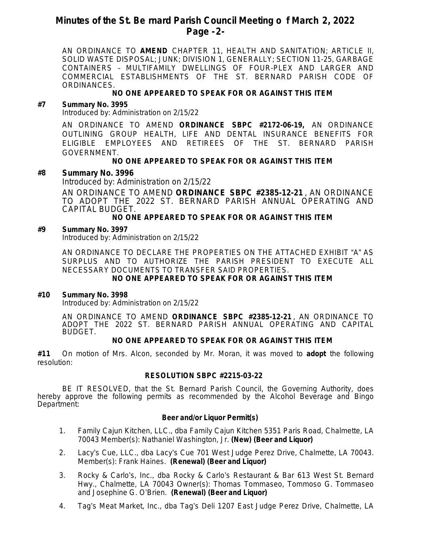## **Minutes of the St. Be rnard Parish Council Meeting o f March 2, 2022 Page -2-**

AN ORDINANCE TO **AMEND** CHAPTER 11, HEALTH AND SANITATION; ARTICLE II, SOLID WASTE DISPOSAL; JUNK; DIVISION 1, GENERALLY; SECTION 11-25, GARBAGE CONTAINERS – MULTIFAMILY DWELLINGS OF FOUR-PLEX AND LARGER AND COMMERCIAL ESTABLISHMENTS OF THE ST. BERNARD PARISH CODE OF **ORDINANCES** 

## **NO ONE APPEARED TO SPEAK FOR OR AGAINST THIS ITEM**

## **#7 Summary No. 3995**

Introduced by: Administration on 2/15/22

AN ORDINANCE TO AMEND **ORDINANCE SBPC #2172-06-19,** AN ORDINANCE OUTLINING GROUP HEALTH, LIFE AND DENTAL INSURANCE BENEFITS FOR ELIGIBLE EMPLOYEES AND RETIREES OF THE ST. BERNARD PARISH GOVERNMENT.

## **NO ONE APPEARED TO SPEAK FOR OR AGAINST THIS ITEM**

### **#8 Summary No. 3996**

Introduced by: Administration on 2/15/22

AN ORDINANCE TO AMEND **ORDINANCE SBPC #2385-12-21** , AN ORDINANCE TO ADOPT THE 2022 ST. BERNARD PARISH ANNUAL OPERATING AND CAPITAL BUDGET.

### **NO ONE APPEARED TO SPEAK FOR OR AGAINST THIS ITEM**

#### **#9 Summary No. 3997**

Introduced by: Administration on 2/15/22

AN ORDINANCE TO DECLARE THE PROPERTIES ON THE ATTACHED EXHIBIT "A" AS SURPLUS AND TO AUTHORIZE THE PARISH PRESIDENT TO EXECUTE ALL NECESSARY DOCUMENTS TO TRANSFER SAID PROPERTIES.

## **NO ONE APPEARED TO SPEAK FOR OR AGAINST THIS ITEM**

## **#10 Summary No. 3998**

Introduced by: Administration on 2/15/22

AN ORDINANCE TO AMEND **ORDINANCE SBPC #2385-12-21** , AN ORDINANCE TO ADOPT THE 2022 ST. BERNARD PARISH ANNUAL OPERATING AND CAPITAL BUDGET.

#### **NO ONE APPEARED TO SPEAK FOR OR AGAINST THIS ITEM**

**#11** On motion of Mrs. Alcon, seconded by Mr. Moran, it was moved to **adopt** the following resolution:

## **RESOLUTION SBPC #2215-03-22**

BE IT RESOLVED, that the St. Bernard Parish Council, the Governing Authority, does hereby approve the following permits as recommended by the Alcohol Beverage and Bingo Department:

#### **Beer and/or Liquor Permit(s)**

- 1. Family Cajun Kitchen, LLC., dba Family Cajun Kitchen 5351 Paris Road, Chalmette, LA 70043 Member(s): Nathaniel Washington, Jr. **(New) (Beer and Liquor)**
- 2. Lacy's Cue, LLC., dba Lacy's Cue 701 West Judge Perez Drive, Chalmette, LA 70043. Member(s): Frank Haines. **(Renewal) (Beer and Liquor)**
- 3. Rocky & Carlo's, Inc., dba Rocky & Carlo's Restaurant & Bar 613 West St. Bernard Hwy., Chalmette, LA 70043 Owner(s): Thomas Tommaseo, Tommoso G. Tommaseo and Josephine G. O'Brien. **(Renewal) (Beer and Liquor)**
- 4. Tag's Meat Market, Inc., dba Tag's Deli 1207 East Judge Perez Drive, Chalmette, LA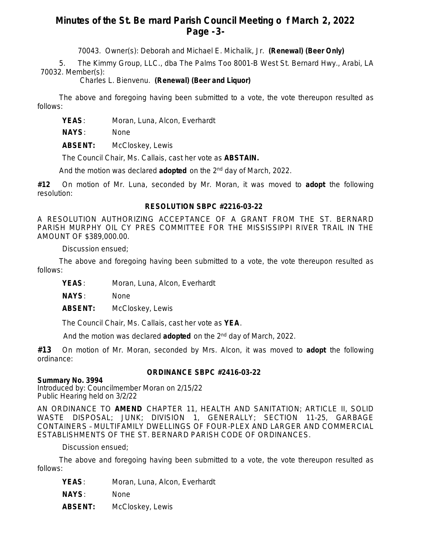# **Minutes of the St. Be rnard Parish Council Meeting o f March 2, 2022 Page -3-**

70043. Owner(s): Deborah and Michael E. Michalik, Jr. **(Renewal) (Beer Only)**

5. The Kimmy Group, LLC., dba The Palms Too 8001-B West St. Bernard Hwy., Arabi, LA 70032. Member(s):

Charles L. Bienvenu. **(Renewal) (Beer and Liquor)**

The above and foregoing having been submitted to a vote, the vote thereupon resulted as follows:

YEAS: Moran, Luna, Alcon, Everhardt

**NAYS**: None

**ABSENT:** McCloskey, Lewis

The Council Chair, Ms. Callais, cast her vote as **ABSTAIN.**

And the motion was declared **adopted** on the 2nd day of March, 2022.

**#12** On motion of Mr. Luna, seconded by Mr. Moran, it was moved to **adopt** the following resolution:

## **RESOLUTION SBPC #2216-03-22**

A RESOLUTION AUTHORIZING ACCEPTANCE OF A GRANT FROM THE ST. BERNARD PARISH MURPHY OIL CY PRES COMMITTEE FOR THE MISSISSIPPI RIVER TRAIL IN THE AMOUNT OF \$389,000.00.

Discussion ensued;

The above and foregoing having been submitted to a vote, the vote thereupon resulted as follows:

YEAS: Moran, Luna, Alcon, Everhardt

**NAYS**: None

**ABSENT:** McCloskey, Lewis

The Council Chair, Ms. Callais, cast her vote as **YEA**.

And the motion was declared **adopted** on the 2nd day of March, 2022.

**#13** On motion of Mr. Moran, seconded by Mrs. Alcon, it was moved to **adopt** the following ordinance:

## **ORDINANCE SBPC #2416-03-22**

## **Summary No. 3994**

Introduced by: Councilmember Moran on 2/15/22 Public Hearing held on 3/2/22

AN ORDINANCE TO **AMEND** CHAPTER 11, HEALTH AND SANITATION; ARTICLE II, SOLID WASTE DISPOSAL; JUNK; DIVISION 1, GENERALLY; SECTION 11-25, GARBAGE CONTAINERS – MULTIFAMILY DWELLINGS OF FOUR-PLEX AND LARGER AND COMMERCIAL ESTABLISHMENTS OF THE ST. BERNARD PARISH CODE OF ORDINANCES.

Discussion ensued;

The above and foregoing having been submitted to a vote, the vote thereupon resulted as follows:

YEAS: Moran, Luna, Alcon, Everhardt

**NAYS**: None

**ABSENT:** McCloskey, Lewis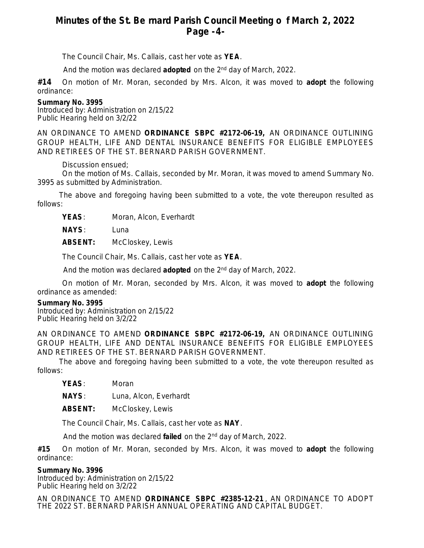# **Minutes of the St. Be rnard Parish Council Meeting o f March 2, 2022 Page -4-**

The Council Chair, Ms. Callais, cast her vote as **YEA**.

And the motion was declared **adopted** on the 2nd day of March, 2022.

**#14** On motion of Mr. Moran, seconded by Mrs. Alcon, it was moved to **adopt** the following ordinance:

#### **Summary No. 3995**

Introduced by: Administration on 2/15/22 Public Hearing held on 3/2/22

AN ORDINANCE TO AMEND **ORDINANCE SBPC #2172-06-19,** AN ORDINANCE OUTLINING GROUP HEALTH, LIFE AND DENTAL INSURANCE BENEFITS FOR ELIGIBLE EMPLOYEES AND RETIREES OF THE ST. BERNARD PARISH GOVERNMENT.

Discussion ensued;

On the motion of Ms. Callais, seconded by Mr. Moran, it was moved to amend Summary No. 3995 as submitted by Administration.

The above and foregoing having been submitted to a vote, the vote thereupon resulted as follows:

**YEAS**: Moran, Alcon, Everhardt

**NAYS**: Luna

**ABSENT:** McCloskey, Lewis

The Council Chair, Ms. Callais, cast her vote as **YEA**.

And the motion was declared **adopted** on the 2nd day of March, 2022.

On motion of Mr. Moran, seconded by Mrs. Alcon, it was moved to **adopt** the following ordinance as amended:

#### **Summary No. 3995**

Introduced by: Administration on 2/15/22 Public Hearing held on 3/2/22

AN ORDINANCE TO AMEND **ORDINANCE SBPC #2172-06-19,** AN ORDINANCE OUTLINING GROUP HEALTH, LIFE AND DENTAL INSURANCE BENEFITS FOR ELIGIBLE EMPLOYEES AND RETIREES OF THE ST. BERNARD PARISH GOVERNMENT.

The above and foregoing having been submitted to a vote, the vote thereupon resulted as follows:

**YEAS**: Moran

**NAYS**: Luna, Alcon, Everhardt

**ABSENT:** McCloskey, Lewis

The Council Chair, Ms. Callais, cast her vote as **NAY**.

And the motion was declared **failed** on the 2nd day of March, 2022.

**#15** On motion of Mr. Moran, seconded by Mrs. Alcon, it was moved to **adopt** the following ordinance:

#### **Summary No. 3996**

Introduced by: Administration on 2/15/22 Public Hearing held on 3/2/22

AN ORDINANCE TO AMEND **ORDINANCE SBPC #2385-12-21** , AN ORDINANCE TO ADOPT THE 2022 ST. BERNARD PARISH ANNUAL OPERATING AND CAPITAL BUDGET.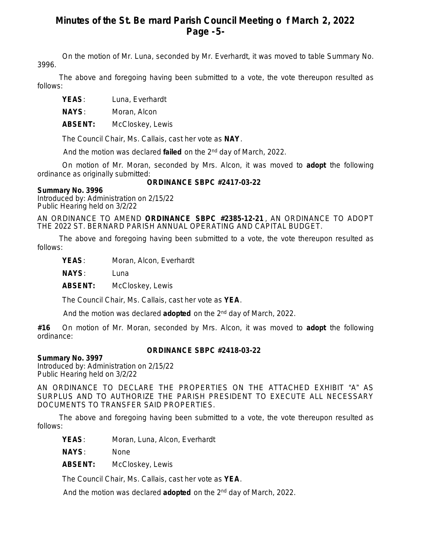# **Minutes of the St. Be rnard Parish Council Meeting o f March 2, 2022 Page -5-**

On the motion of Mr. Luna, seconded by Mr. Everhardt, it was moved to table Summary No. 3996.

The above and foregoing having been submitted to a vote, the vote thereupon resulted as follows:

**YEAS**: Luna, Everhardt

**NAYS**: Moran, Alcon

**ABSENT:** McCloskey, Lewis

The Council Chair, Ms. Callais, cast her vote as **NAY**.

And the motion was declared **failed** on the 2nd day of March, 2022.

On motion of Mr. Moran, seconded by Mrs. Alcon, it was moved to **adopt** the following ordinance as originally submitted:

### **Summary No. 3996**

## **ORDINANCE SBPC #2417-03-22**

Introduced by: Administration on 2/15/22 Public Hearing held on 3/2/22

AN ORDINANCE TO AMEND **ORDINANCE SBPC #2385-12-21** , AN ORDINANCE TO ADOPT THE 2022 ST. BERNARD PARISH ANNUAL OPERATING AND CAPITAL BUDGET.

The above and foregoing having been submitted to a vote, the vote thereupon resulted as follows:

**YEAS**: Moran, Alcon, Everhardt

**NAYS**: Luna

**ABSENT:** McCloskey, Lewis

The Council Chair, Ms. Callais, cast her vote as **YEA**.

And the motion was declared **adopted** on the 2nd day of March, 2022.

**#16** On motion of Mr. Moran, seconded by Mrs. Alcon, it was moved to **adopt** the following ordinance:

## **ORDINANCE SBPC #2418-03-22**

## **Summary No. 3997**

Introduced by: Administration on 2/15/22 Public Hearing held on 3/2/22

AN ORDINANCE TO DECLARE THE PROPERTIES ON THE ATTACHED EXHIBIT "A" AS SURPLUS AND TO AUTHORIZE THE PARISH PRESIDENT TO EXECUTE ALL NECESSARY DOCUMENTS TO TRANSFER SAID PROPERTIES.

The above and foregoing having been submitted to a vote, the vote thereupon resulted as follows:

**YEAS**: Moran, Luna, Alcon, Everhardt

**NAYS**: None

**ABSENT:** McCloskey, Lewis

The Council Chair, Ms. Callais, cast her vote as **YEA**.

And the motion was declared **adopted** on the 2nd day of March, 2022.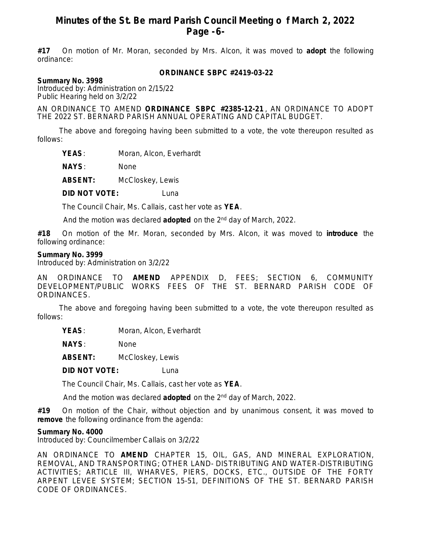## **Minutes of the St. Be rnard Parish Council Meeting o f March 2, 2022 Page -6-**

**#17** On motion of Mr. Moran, seconded by Mrs. Alcon, it was moved to **adopt** the following ordinance:

#### **ORDINANCE SBPC #2419-03-22**

**Summary No. 3998**

Introduced by: Administration on 2/15/22 Public Hearing held on 3/2/22

AN ORDINANCE TO AMEND **ORDINANCE SBPC #2385-12-21** , AN ORDINANCE TO ADOPT THE 2022 ST. BERNARD PARISH ANNUAL OPERATING AND CAPITAL BUDGET.

The above and foregoing having been submitted to a vote, the vote thereupon resulted as follows:

**YEAS**: Moran, Alcon, Everhardt

**NAYS**: None

**ABSENT:** McCloskey, Lewis

**DID NOT VOTE:** Luna

The Council Chair, Ms. Callais, cast her vote as **YEA**.

And the motion was declared **adopted** on the 2nd day of March, 2022.

**#18** On motion of the Mr. Moran, seconded by Mrs. Alcon, it was moved to **introduce** the following ordinance:

#### **Summary No. 3999**

Introduced by: Administration on 3/2/22

AN ORDINANCE TO **AMEND** APPENDIX D, FEES; SECTION 6, COMMUNITY DEVELOPMENT/PUBLIC WORKS FEES OF THE ST. BERNARD PARISH CODE OF ORDINANCES.

The above and foregoing having been submitted to a vote, the vote thereupon resulted as follows:

**YEAS**: Moran, Alcon, Everhardt

**NAYS**: None

**ABSENT:** McCloskey, Lewis

**DID NOT VOTE:** Luna

The Council Chair, Ms. Callais, cast her vote as **YEA**.

And the motion was declared **adopted** on the 2nd day of March, 2022.

**#19** On motion of the Chair, without objection and by unanimous consent, it was moved to **remove** the following ordinance from the agenda:

#### **Summary No. 4000**

Introduced by: Councilmember Callais on 3/2/22

AN ORDINANCE TO **AMEND** CHAPTER 15, OIL, GAS, AND MINERAL EXPLORATION, REMOVAL, AND TRANSPORTING; OTHER LAND- DISTRIBUTING AND WATER-DISTRIBUTING ACTIVITIES; ARTICLE III, WHARVES, PIERS, DOCKS, ETC., OUTSIDE OF THE FORTY ARPENT LEVEE SYSTEM; SECTION 15-51, DEFINITIONS OF THE ST. BERNARD PARISH CODE OF ORDINANCES.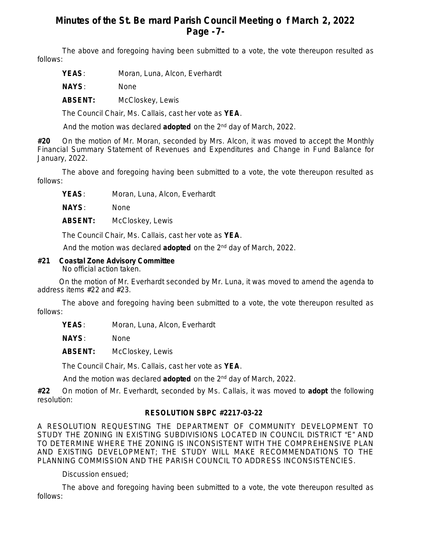# **Minutes of the St. Be rnard Parish Council Meeting o f March 2, 2022 Page -7-**

The above and foregoing having been submitted to a vote, the vote thereupon resulted as follows:

YEAS: Moran, Luna, Alcon, Everhardt

**NAYS**: None

**ABSENT:** McCloskey, Lewis

The Council Chair, Ms. Callais, cast her vote as **YEA**.

And the motion was declared **adopted** on the 2nd day of March, 2022.

**#20** On the motion of Mr. Moran, seconded by Mrs. Alcon, it was moved to accept the Monthly Financial Summary Statement of Revenues and Expenditures and Change in Fund Balance for January, 2022.

The above and foregoing having been submitted to a vote, the vote thereupon resulted as follows:

YEAS: Moran, Luna, Alcon, Everhardt

**NAYS**: None

**ABSENT:** McCloskey, Lewis

The Council Chair, Ms. Callais, cast her vote as **YEA**.

And the motion was declared **adopted** on the 2nd day of March, 2022.

### **#21 Coastal Zone Advisory Committee**

No official action taken.

On the motion of Mr. Everhardt seconded by Mr. Luna, it was moved to amend the agenda to address items #22 and #23.

The above and foregoing having been submitted to a vote, the vote thereupon resulted as follows:

YEAS: Moran, Luna, Alcon, Everhardt

**NAYS**: None

**ABSENT:** McCloskey, Lewis

The Council Chair, Ms. Callais, cast her vote as **YEA**.

And the motion was declared **adopted** on the 2nd day of March, 2022.

**#22** On motion of Mr. Everhardt, seconded by Ms. Callais, it was moved to **adopt** the following resolution:

## **RESOLUTION SBPC #2217-03-22**

A RESOLUTION REQUESTING THE DEPARTMENT OF COMMUNITY DEVELOPMENT TO STUDY THE ZONING IN EXISTING SUBDIVISIONS LOCATED IN COUNCIL DISTRICT "E" AND TO DETERMINE WHERE THE ZONING IS INCONSISTENT WITH THE COMPREHENSIVE PLAN AND EXISTING DEVELOPMENT; THE STUDY WILL MAKE RECOMMENDATIONS TO THE PLANNING COMMISSION AND THE PARISH COUNCIL TO ADDRESS INCONSISTENCIES.

Discussion ensued;

The above and foregoing having been submitted to a vote, the vote thereupon resulted as follows: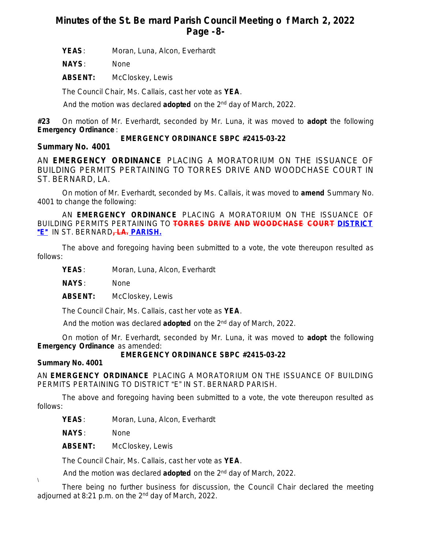# **Minutes of the St. Be rnard Parish Council Meeting o f March 2, 2022 Page -8-**

YEAS: Moran, Luna, Alcon, Everhardt

**NAYS**: None

**ABSENT:** McCloskey, Lewis

The Council Chair, Ms. Callais, cast her vote as **YEA**.

And the motion was declared **adopted** on the 2nd day of March, 2022.

**#23** On motion of Mr. Everhardt, seconded by Mr. Luna, it was moved to **adopt** the following **Emergency Ordinance** :

## **EMERGENCY ORDINANCE SBPC #2415-03-22**

**Summary No. 4001**

AN **EMERGENCY ORDINANCE** PLACING A MORATORIUM ON THE ISSUANCE OF BUILDING PERMITS PERTAINING TO TORRES DRIVE AND WOODCHASE COURT IN ST. BERNARD, LA.

On motion of Mr. Everhardt, seconded by Ms. Callais, it was moved to **amend** Summary No. 4001 to change the following:

AN **EMERGENCY ORDINANCE** PLACING A MORATORIUM ON THE ISSUANCE OF BUILDING PERMITS PERTAINING TO **TORRES DRIVE AND WOODCHASE COURT DISTRICT** "**E**" IN ST. BERNARD**, LA. PARISH.**

The above and foregoing having been submitted to a vote, the vote thereupon resulted as follows:

YEAS: Moran, Luna, Alcon, Everhardt

**NAYS**: None

**ABSENT:** McCloskey, Lewis

The Council Chair, Ms. Callais, cast her vote as **YEA**.

And the motion was declared **adopted** on the 2nd day of March, 2022.

On motion of Mr. Everhardt, seconded by Mr. Luna, it was moved to **adopt** the following **Emergency Ordinance** as amended:

## **EMERGENCY ORDINANCE SBPC #2415-03-22**

## **Summary No. 4001**

 $\sqrt{2}$ 

AN **EMERGENCY ORDINANCE** PLACING A MORATORIUM ON THE ISSUANCE OF BUILDING PERMITS PERTAINING TO DISTRICT "E" IN ST. BERNARD PARISH.

The above and foregoing having been submitted to a vote, the vote thereupon resulted as follows:

YEAS: Moran, Luna, Alcon, Everhardt

**NAYS**: None

**ABSENT:** McCloskey, Lewis

The Council Chair, Ms. Callais, cast her vote as **YEA**.

And the motion was declared **adopted** on the 2nd day of March, 2022.

There being no further business for discussion, the Council Chair declared the meeting adjourned at 8:21 p.m. on the 2<sup>nd</sup> day of March, 2022.